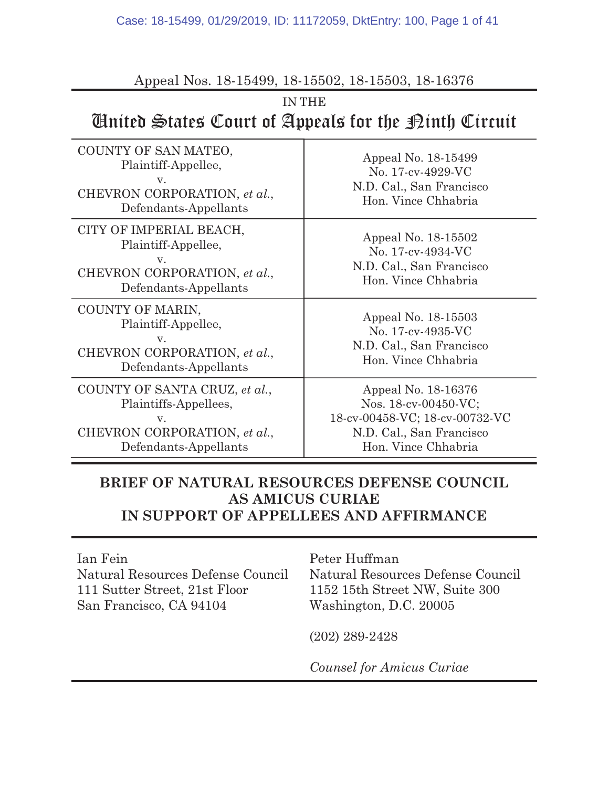#### Appeal Nos. 18-15499, 18-15502, 18-15503, 18-16376

# IN THE United States Court of Appeals for the Ninth Circuit

| COUNTY OF SAN MATEO,<br>Plaintiff-Appellee,<br>V.<br>CHEVRON CORPORATION, et al.,<br>Defendants-Appellants            | Appeal No. 18-15499<br>No. 17-cv-4929-VC<br>N.D. Cal., San Francisco<br>Hon. Vince Chhabria                                      |
|-----------------------------------------------------------------------------------------------------------------------|----------------------------------------------------------------------------------------------------------------------------------|
| CITY OF IMPERIAL BEACH,<br>Plaintiff-Appellee,<br>V.<br>CHEVRON CORPORATION, et al.,<br>Defendants-Appellants         | Appeal No. 18-15502<br>No. 17-cv-4934-VC<br>N.D. Cal., San Francisco<br>Hon. Vince Chhabria                                      |
| COUNTY OF MARIN,<br>Plaintiff-Appellee,<br>V.<br>CHEVRON CORPORATION, et al.,<br>Defendants-Appellants                | Appeal No. 18-15503<br>No. 17-cv-4935-VC<br>N.D. Cal., San Francisco<br>Hon. Vince Chhabria                                      |
| COUNTY OF SANTA CRUZ, et al.,<br>Plaintiffs-Appellees,<br>V.<br>CHEVRON CORPORATION, et al.,<br>Defendants-Appellants | Appeal No. 18-16376<br>Nos. 18-cv-00450-VC;<br>18-cv-00458-VC; 18-cv-00732-VC<br>N.D. Cal., San Francisco<br>Hon. Vince Chhabria |

# BRIEF OF NATURAL RESOURCES DEFENSE COUNCIL AS AMICUS CURIAE IN SUPPORT OF APPELLEES AND AFFIRMANCE

#### Ian Fein

Natural Resources Defense Council 111 Sutter Street, 21st Floor San Francisco, CA 94104

Peter Huffman Natural Resources Defense Council 1152 15th Street NW, Suite 300 Washington, D.C. 20005

(202) 289-2428

Counsel for Amicus Curiae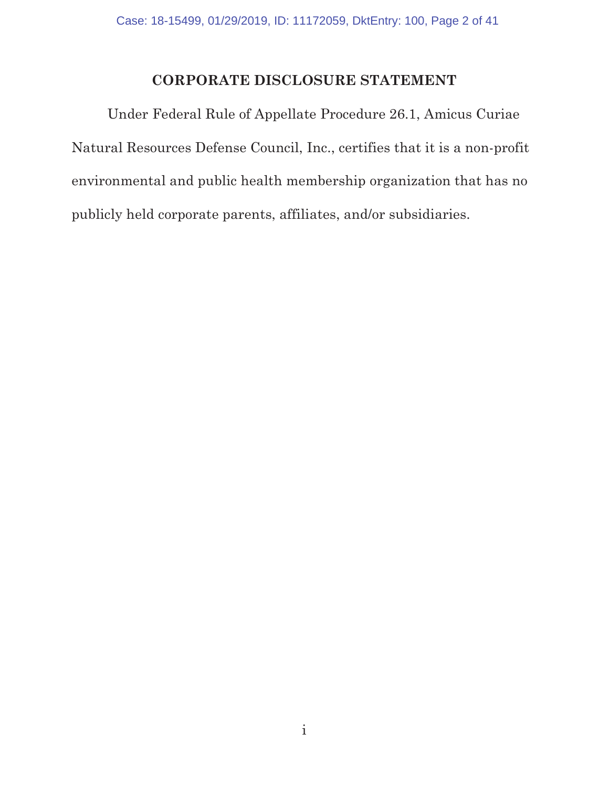# CORPORATE DISCLOSURE STATEMENT

 Under Federal Rule of Appellate Procedure 26.1, Amicus Curiae Natural Resources Defense Council, Inc., certifies that it is a non-profit environmental and public health membership organization that has no publicly held corporate parents, affiliates, and/or subsidiaries.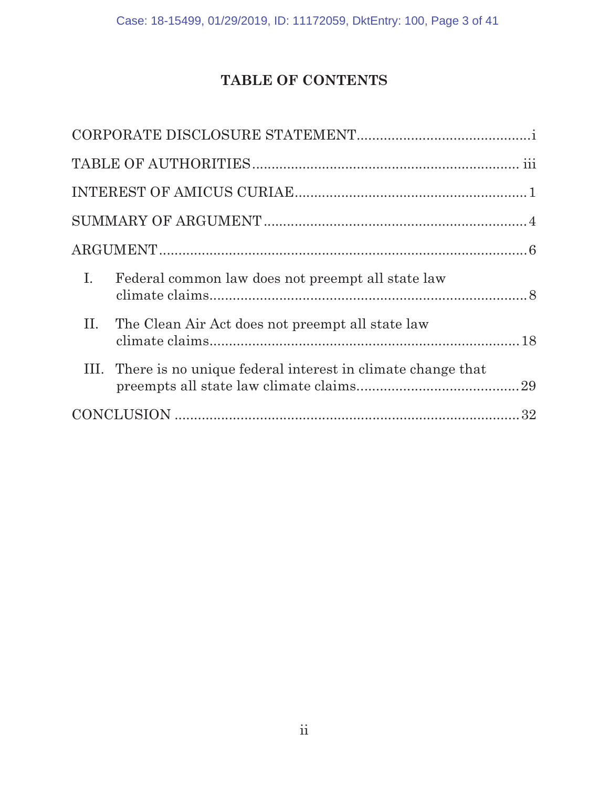# TABLE OF CONTENTS

| I.<br>Federal common law does not preempt all state law         |
|-----------------------------------------------------------------|
| II.<br>The Clean Air Act does not preempt all state law         |
| III. There is no unique federal interest in climate change that |
|                                                                 |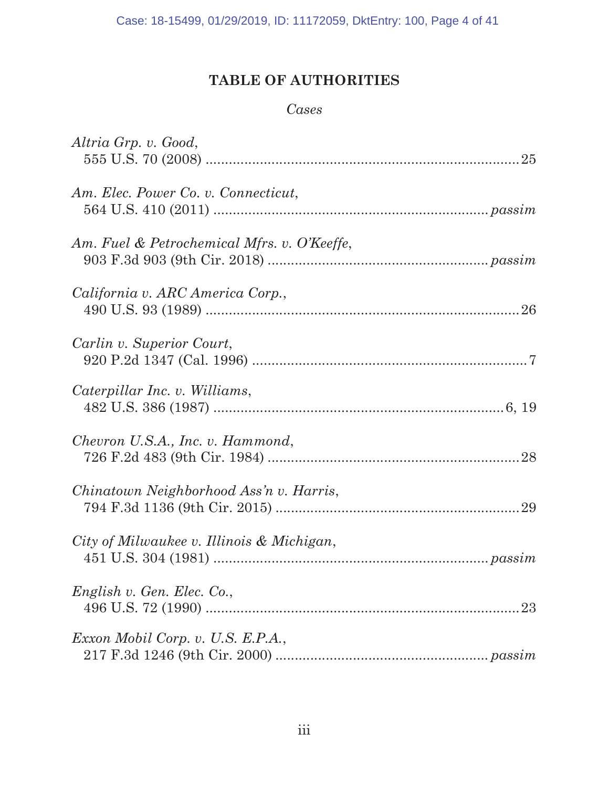# TABLE OF AUTHORITIES

# Cases

| Altria Grp. v. Good,                        |
|---------------------------------------------|
| Am. Elec. Power Co. v. Connecticut,         |
| Am. Fuel & Petrochemical Mfrs. v. O'Keeffe, |
| California v. ARC America Corp.,            |
| Carlin v. Superior Court,                   |
| Caterpillar Inc. v. Williams,               |
| Chevron U.S.A., Inc. v. Hammond,            |
| Chinatown Neighborhood Ass'n v. Harris,     |
| City of Milwaukee v. Illinois & Michigan,   |
| English v. Gen. Elec. Co.,                  |
| Exxon Mobil Corp. v. U.S. E.P.A.,           |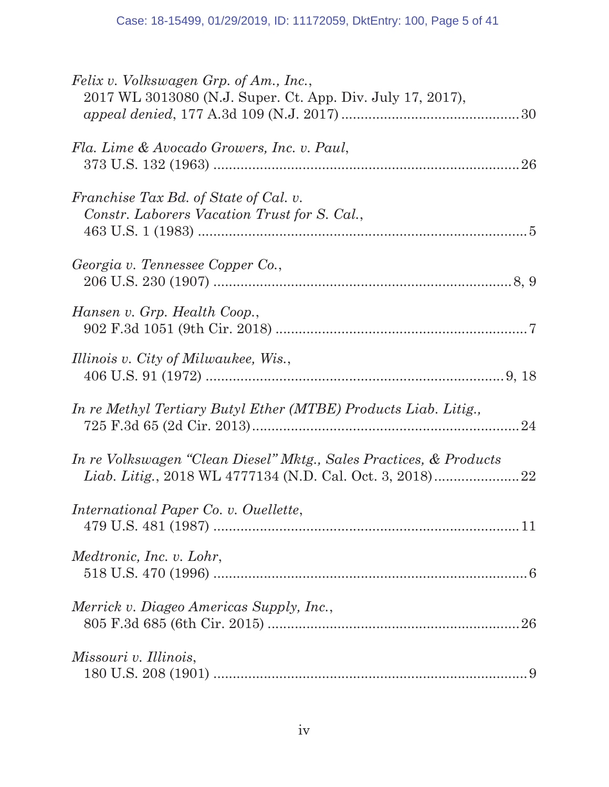| Felix v. Volkswagen Grp. of Am., Inc.,<br>2017 WL 3013080 (N.J. Super. Ct. App. Div. July 17, 2017), |
|------------------------------------------------------------------------------------------------------|
| Fla. Lime & Avocado Growers, Inc. v. Paul,                                                           |
| Franchise Tax Bd. of State of Cal. v.<br>Constr. Laborers Vacation Trust for S. Cal.,                |
| Georgia v. Tennessee Copper Co.,                                                                     |
| Hansen v. Grp. Health Coop.,                                                                         |
| Illinois v. City of Milwaukee, Wis.,                                                                 |
| In re Methyl Tertiary Butyl Ether (MTBE) Products Liab. Litig.,                                      |
| In re Volkswagen "Clean Diesel" Mktg., Sales Practices, & Products                                   |
| International Paper Co. v. Ouellette,                                                                |
| Medtronic, Inc. v. Lohr,                                                                             |
| Merrick v. Diageo Americas Supply, Inc.,                                                             |
| Missouri v. Illinois,                                                                                |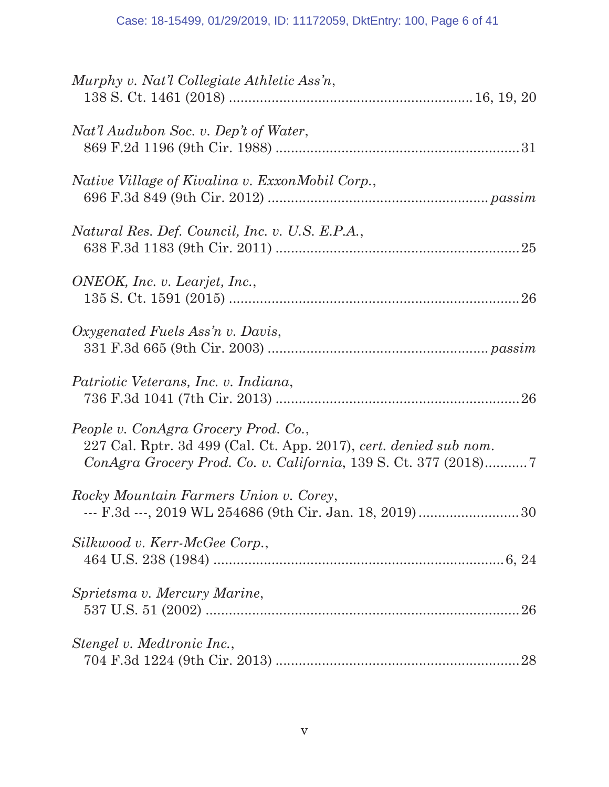| Murphy v. Nat'l Collegiate Athletic Ass'n,                                                                |
|-----------------------------------------------------------------------------------------------------------|
|                                                                                                           |
| Nat'l Audubon Soc. v. Dep't of Water,                                                                     |
|                                                                                                           |
| Native Village of Kivalina v. ExxonMobil Corp.,                                                           |
|                                                                                                           |
| Natural Res. Def. Council, Inc. v. U.S. E.P.A.,                                                           |
|                                                                                                           |
| ONEOK, Inc. v. Learjet, Inc.,                                                                             |
|                                                                                                           |
| Oxygenated Fuels Ass'n v. Davis,                                                                          |
|                                                                                                           |
| Patriotic Veterans, Inc. v. Indiana,                                                                      |
|                                                                                                           |
| People v. ConAgra Grocery Prod. Co.,<br>227 Cal. Rptr. 3d 499 (Cal. Ct. App. 2017), cert. denied sub nom. |
|                                                                                                           |
| Rocky Mountain Farmers Union v. Corey,                                                                    |
| --- F.3d ---, 2019 WL 254686 (9th Cir. Jan. 18, 2019) 30                                                  |
| Silkwood v. Kerr-McGee Corp.,                                                                             |
|                                                                                                           |
| Sprietsma v. Mercury Marine,                                                                              |
|                                                                                                           |
| Stengel v. Medtronic Inc.,                                                                                |
| 28                                                                                                        |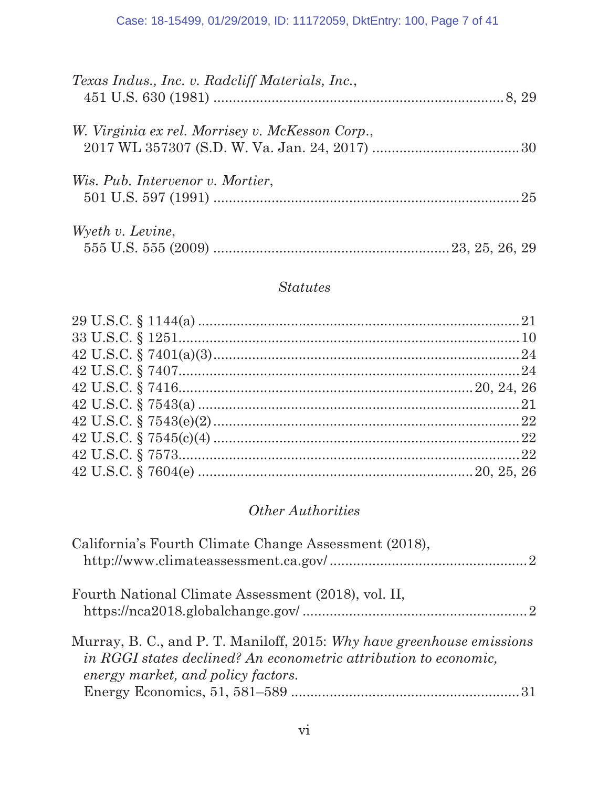| Texas Indus., Inc. v. Radcliff Materials, Inc., |  |
|-------------------------------------------------|--|
| W. Virginia ex rel. Morrisey v. McKesson Corp., |  |
| <i>Wis. Pub. Intervenor v. Mortier,</i>         |  |
| Wyeth v. Levine,                                |  |

# Statutes

# Other Authorities

| California's Fourth Climate Change Assessment (2018),                                                                                                                            |
|----------------------------------------------------------------------------------------------------------------------------------------------------------------------------------|
| Fourth National Climate Assessment (2018), vol. II,                                                                                                                              |
| Murray, B. C., and P. T. Maniloff, 2015: Why have greenhouse emissions<br>in RGGI states declined? An econometric attribution to economic,<br>energy market, and policy factors. |
|                                                                                                                                                                                  |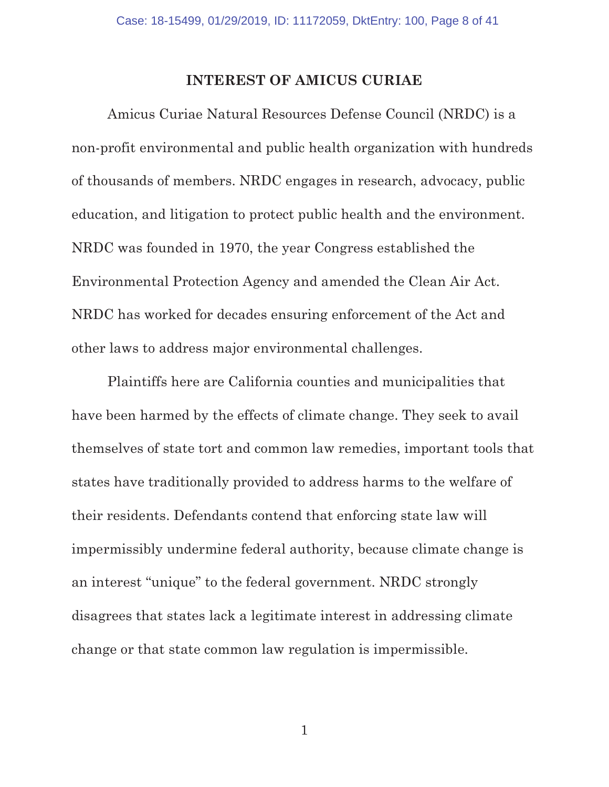#### INTEREST OF AMICUS CURIAE

Amicus Curiae Natural Resources Defense Council (NRDC) is a non-profit environmental and public health organization with hundreds of thousands of members. NRDC engages in research, advocacy, public education, and litigation to protect public health and the environment. NRDC was founded in 1970, the year Congress established the Environmental Protection Agency and amended the Clean Air Act. NRDC has worked for decades ensuring enforcement of the Act and other laws to address major environmental challenges.

Plaintiffs here are California counties and municipalities that have been harmed by the effects of climate change. They seek to avail themselves of state tort and common law remedies, important tools that states have traditionally provided to address harms to the welfare of their residents. Defendants contend that enforcing state law will impermissibly undermine federal authority, because climate change is an interest "unique" to the federal government. NRDC strongly disagrees that states lack a legitimate interest in addressing climate change or that state common law regulation is impermissible.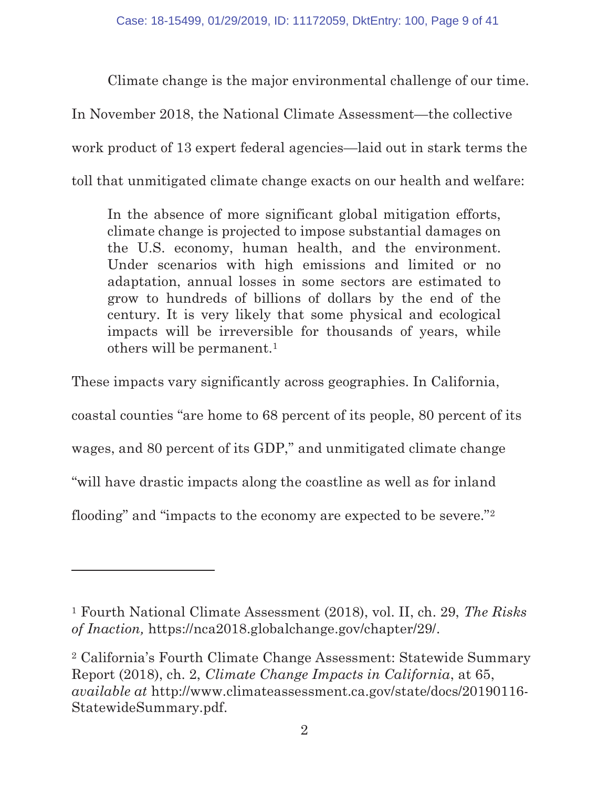Climate change is the major environmental challenge of our time.

In November 2018, the National Climate Assessment—the collective work product of 13 expert federal agencies—laid out in stark terms the toll that unmitigated climate change exacts on our health and welfare:

In the absence of more significant global mitigation efforts, climate change is projected to impose substantial damages on the U.S. economy, human health, and the environment. Under scenarios with high emissions and limited or no adaptation, annual losses in some sectors are estimated to grow to hundreds of billions of dollars by the end of the century. It is very likely that some physical and ecological impacts will be irreversible for thousands of years, while others will be permanent.1

These impacts vary significantly across geographies. In California,

coastal counties "are home to 68 percent of its people, 80 percent of its

wages, and 80 percent of its GDP," and unmitigated climate change

"will have drastic impacts along the coastline as well as for inland

flooding" and "impacts to the economy are expected to be severe."2

<sup>&</sup>lt;sup>1</sup> Fourth National Climate Assessment (2018), vol. II, ch. 29, The Risks of Inaction, https://nca2018.globalchange.gov/chapter/29/.

<sup>2</sup> California's Fourth Climate Change Assessment: Statewide Summary Report (2018), ch. 2, Climate Change Impacts in California, at 65, available at http://www.climateassessment.ca.gov/state/docs/20190116- StatewideSummary.pdf.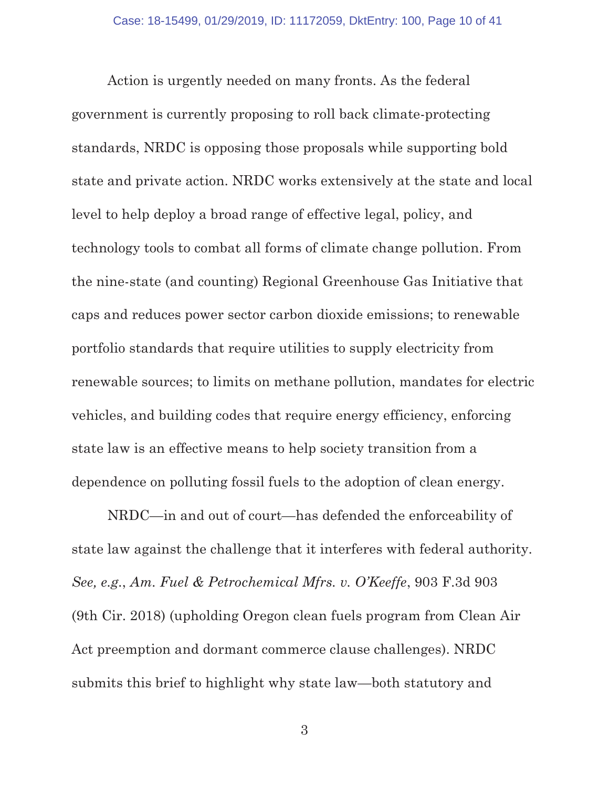Action is urgently needed on many fronts. As the federal government is currently proposing to roll back climate-protecting standards, NRDC is opposing those proposals while supporting bold state and private action. NRDC works extensively at the state and local level to help deploy a broad range of effective legal, policy, and technology tools to combat all forms of climate change pollution. From the nine-state (and counting) Regional Greenhouse Gas Initiative that caps and reduces power sector carbon dioxide emissions; to renewable portfolio standards that require utilities to supply electricity from renewable sources; to limits on methane pollution, mandates for electric vehicles, and building codes that require energy efficiency, enforcing state law is an effective means to help society transition from a dependence on polluting fossil fuels to the adoption of clean energy.

NRDC—in and out of court—has defended the enforceability of state law against the challenge that it interferes with federal authority. See, e.g., Am. Fuel & Petrochemical Mfrs. v. O'Keeffe, 903 F.3d 903 (9th Cir. 2018) (upholding Oregon clean fuels program from Clean Air Act preemption and dormant commerce clause challenges). NRDC submits this brief to highlight why state law—both statutory and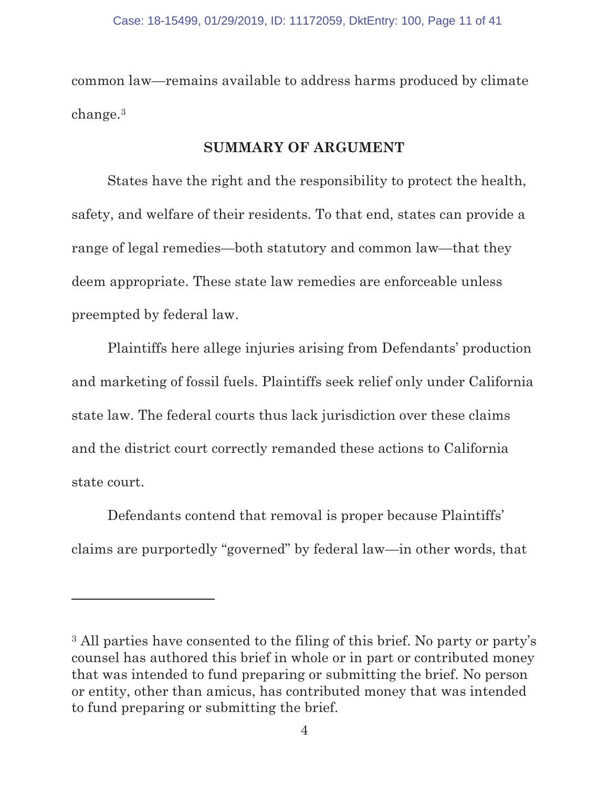common law—remains available to address harms produced by climate change.3

#### SUMMARY OF ARGUMENT

States have the right and the responsibility to protect the health, safety, and welfare of their residents. To that end, states can provide a range of legal remedies—both statutory and common law—that they deem appropriate. These state law remedies are enforceable unless preempted by federal law.

Plaintiffs here allege injuries arising from Defendants' production and marketing of fossil fuels. Plaintiffs seek relief only under California state law. The federal courts thus lack jurisdiction over these claims and the district court correctly remanded these actions to California state court.

Defendants contend that removal is proper because Plaintiffs' claims are purportedly "governed" by federal law—in other words, that

<sup>3</sup> All parties have consented to the filing of this brief. No party or party's counsel has authored this brief in whole or in part or contributed money that was intended to fund preparing or submitting the brief. No person or entity, other than amicus, has contributed money that was intended to fund preparing or submitting the brief.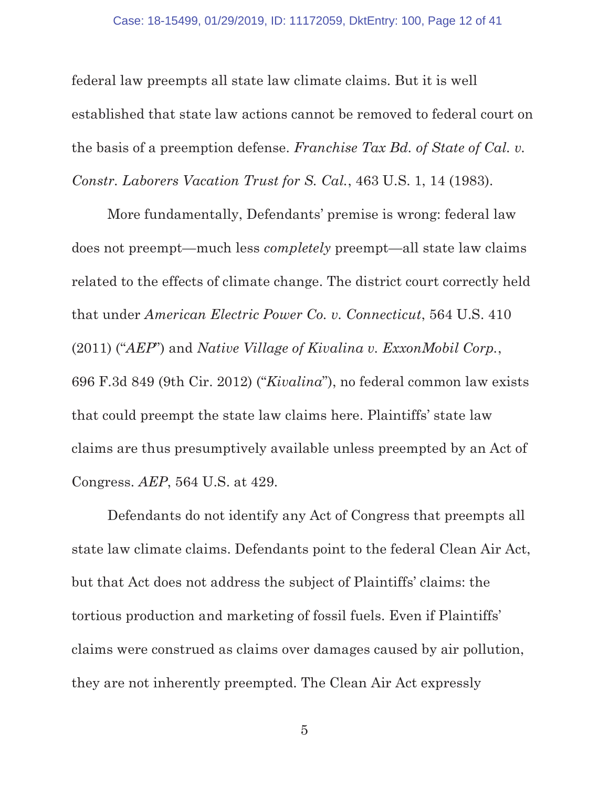federal law preempts all state law climate claims. But it is well established that state law actions cannot be removed to federal court on the basis of a preemption defense. Franchise Tax Bd. of State of Cal. v. Constr. Laborers Vacation Trust for S. Cal., 463 U.S. 1, 14 (1983).

More fundamentally, Defendants' premise is wrong: federal law does not preempt—much less completely preempt—all state law claims related to the effects of climate change. The district court correctly held that under American Electric Power Co. v. Connecticut, 564 U.S. 410 (2011) ("AEP") and Native Village of Kivalina v. ExxonMobil Corp., 696 F.3d 849 (9th Cir. 2012) ("Kivalina"), no federal common law exists that could preempt the state law claims here. Plaintiffs' state law claims are thus presumptively available unless preempted by an Act of Congress. AEP, 564 U.S. at 429.

Defendants do not identify any Act of Congress that preempts all state law climate claims. Defendants point to the federal Clean Air Act, but that Act does not address the subject of Plaintiffs' claims: the tortious production and marketing of fossil fuels. Even if Plaintiffs' claims were construed as claims over damages caused by air pollution, they are not inherently preempted. The Clean Air Act expressly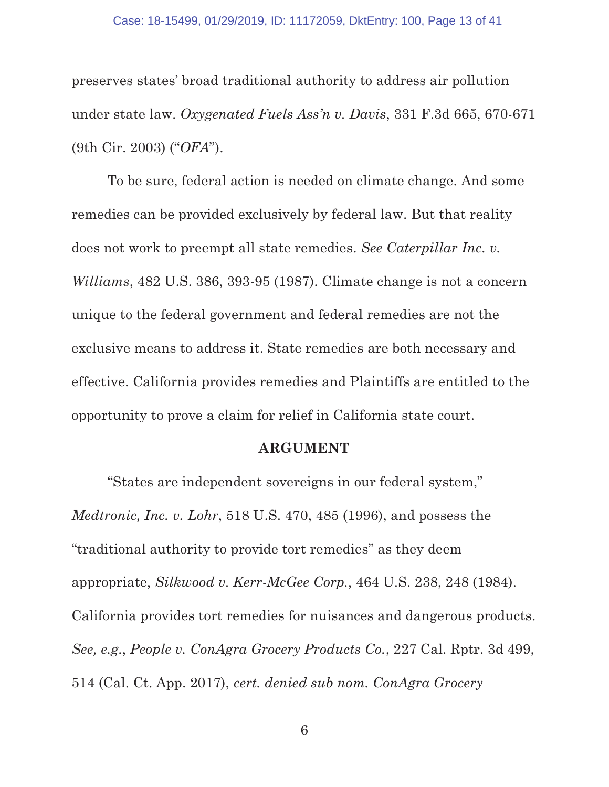preserves states' broad traditional authority to address air pollution under state law. Oxygenated Fuels Ass'n v. Davis, 331 F.3d 665, 670-671 (9th Cir. 2003) ("OFA").

To be sure, federal action is needed on climate change. And some remedies can be provided exclusively by federal law. But that reality does not work to preempt all state remedies. See Caterpillar Inc. v. Williams, 482 U.S. 386, 393-95 (1987). Climate change is not a concern unique to the federal government and federal remedies are not the exclusive means to address it. State remedies are both necessary and effective. California provides remedies and Plaintiffs are entitled to the opportunity to prove a claim for relief in California state court.

#### ARGUMENT

"States are independent sovereigns in our federal system," Medtronic, Inc. v. Lohr, 518 U.S. 470, 485 (1996), and possess the "traditional authority to provide tort remedies" as they deem appropriate, Silkwood v. Kerr-McGee Corp., 464 U.S. 238, 248 (1984). California provides tort remedies for nuisances and dangerous products. See, e.g., People v. ConAgra Grocery Products Co., 227 Cal. Rptr. 3d 499, 514 (Cal. Ct. App. 2017), cert. denied sub nom. ConAgra Grocery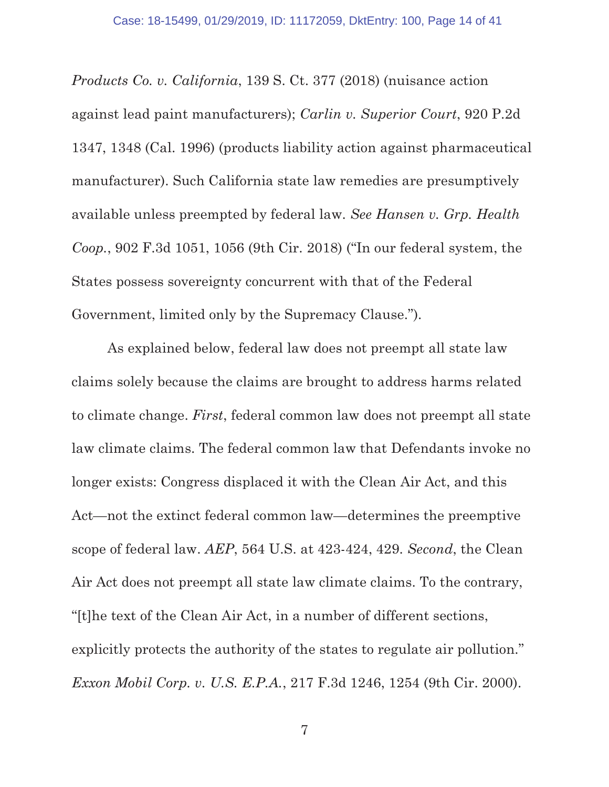Products Co. v. California, 139 S. Ct. 377 (2018) (nuisance action against lead paint manufacturers); Carlin v. Superior Court, 920 P.2d 1347, 1348 (Cal. 1996) (products liability action against pharmaceutical manufacturer). Such California state law remedies are presumptively available unless preempted by federal law. See Hansen v. Grp. Health Coop., 902 F.3d 1051, 1056 (9th Cir. 2018) ("In our federal system, the States possess sovereignty concurrent with that of the Federal Government, limited only by the Supremacy Clause.").

As explained below, federal law does not preempt all state law claims solely because the claims are brought to address harms related to climate change. First, federal common law does not preempt all state law climate claims. The federal common law that Defendants invoke no longer exists: Congress displaced it with the Clean Air Act, and this Act—not the extinct federal common law—determines the preemptive scope of federal law. AEP, 564 U.S. at 423-424, 429. Second, the Clean Air Act does not preempt all state law climate claims. To the contrary, "[t]he text of the Clean Air Act, in a number of different sections, explicitly protects the authority of the states to regulate air pollution." Exxon Mobil Corp. v. U.S. E.P.A., 217 F.3d 1246, 1254 (9th Cir. 2000).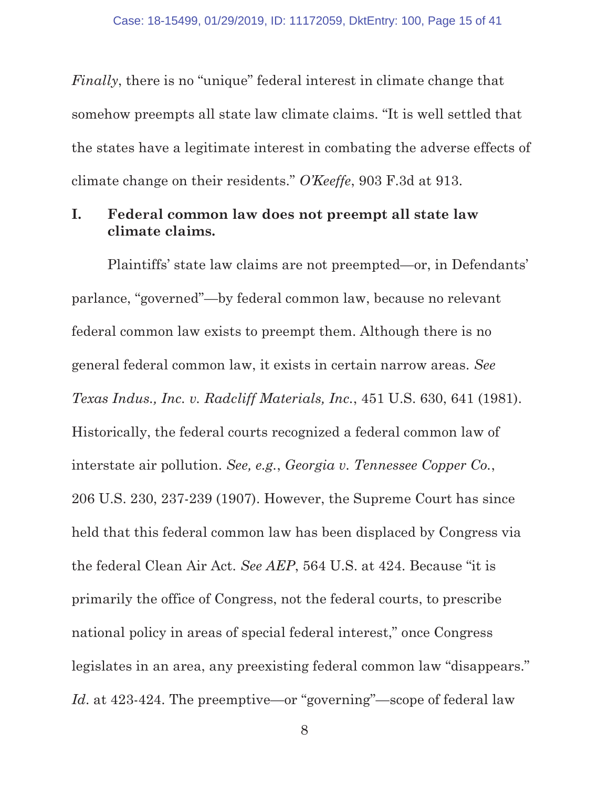Finally, there is no "unique" federal interest in climate change that somehow preempts all state law climate claims. "It is well settled that the states have a legitimate interest in combating the adverse effects of climate change on their residents." O'Keeffe, 903 F.3d at 913.

### I. Federal common law does not preempt all state law climate claims.

Plaintiffs' state law claims are not preempted—or, in Defendants' parlance, "governed"—by federal common law, because no relevant federal common law exists to preempt them. Although there is no general federal common law, it exists in certain narrow areas. See Texas Indus., Inc. v. Radcliff Materials, Inc., 451 U.S. 630, 641 (1981). Historically, the federal courts recognized a federal common law of interstate air pollution. See, e.g., Georgia v. Tennessee Copper Co., 206 U.S. 230, 237-239 (1907). However, the Supreme Court has since held that this federal common law has been displaced by Congress via the federal Clean Air Act. See AEP, 564 U.S. at 424. Because "it is primarily the office of Congress, not the federal courts, to prescribe national policy in areas of special federal interest," once Congress legislates in an area, any preexisting federal common law "disappears." Id. at 423-424. The preemptive—or "governing"—scope of federal law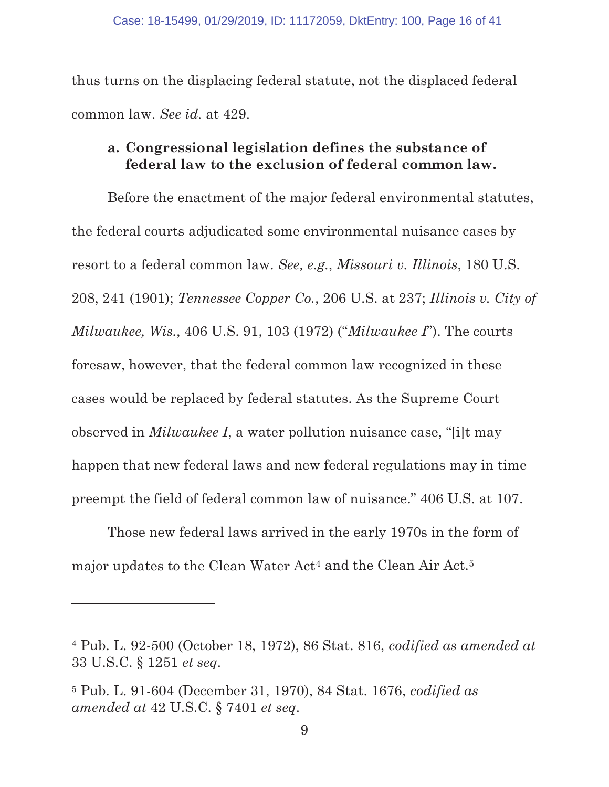thus turns on the displacing federal statute, not the displaced federal common law. See id. at 429.

### a. Congressional legislation defines the substance of federal law to the exclusion of federal common law.

Before the enactment of the major federal environmental statutes, the federal courts adjudicated some environmental nuisance cases by resort to a federal common law. See, e.g., Missouri v. Illinois, 180 U.S. 208, 241 (1901); Tennessee Copper Co., 206 U.S. at 237; Illinois v. City of Milwaukee, Wis., 406 U.S. 91, 103 (1972) ("Milwaukee I"). The courts foresaw, however, that the federal common law recognized in these cases would be replaced by federal statutes. As the Supreme Court observed in Milwaukee I, a water pollution nuisance case, "[i]t may happen that new federal laws and new federal regulations may in time preempt the field of federal common law of nuisance." 406 U.S. at 107.

Those new federal laws arrived in the early 1970s in the form of major updates to the Clean Water Act<sup>4</sup> and the Clean Air Act.<sup>5</sup>

<sup>4</sup> Pub. L. 92-500 (October 18, 1972), 86 Stat. 816, codified as amended at 33 U.S.C. § 1251 et seq.

<sup>5</sup> Pub. L. 91-604 (December 31, 1970), 84 Stat. 1676, codified as amended at 42 U.S.C. § 7401 et seq.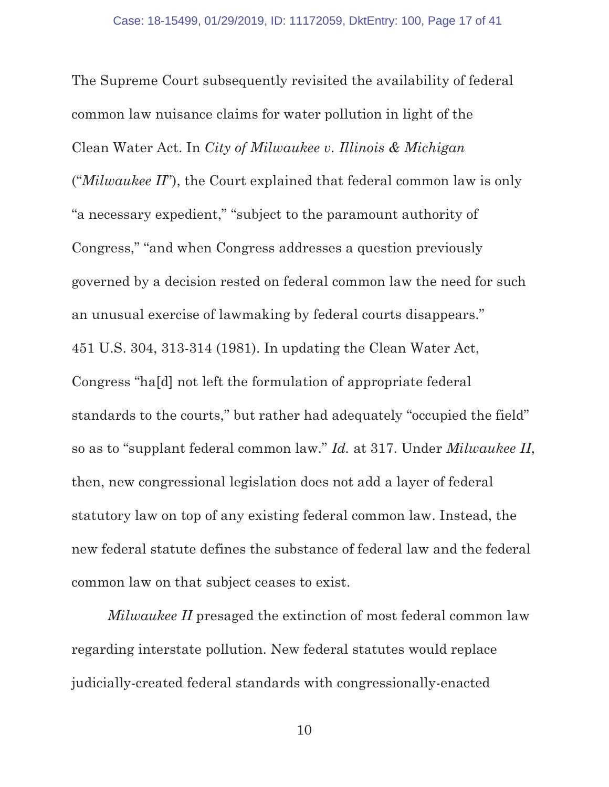The Supreme Court subsequently revisited the availability of federal common law nuisance claims for water pollution in light of the Clean Water Act. In City of Milwaukee v. Illinois & Michigan (" $Milwaukee II$ "), the Court explained that federal common law is only "a necessary expedient," "subject to the paramount authority of Congress," "and when Congress addresses a question previously governed by a decision rested on federal common law the need for such an unusual exercise of lawmaking by federal courts disappears." 451 U.S. 304, 313-314 (1981). In updating the Clean Water Act, Congress "ha[d] not left the formulation of appropriate federal standards to the courts," but rather had adequately "occupied the field" so as to "supplant federal common law." Id. at 317. Under Milwaukee II, then, new congressional legislation does not add a layer of federal statutory law on top of any existing federal common law. Instead, the new federal statute defines the substance of federal law and the federal common law on that subject ceases to exist.

Milwaukee II presaged the extinction of most federal common law regarding interstate pollution. New federal statutes would replace judicially-created federal standards with congressionally-enacted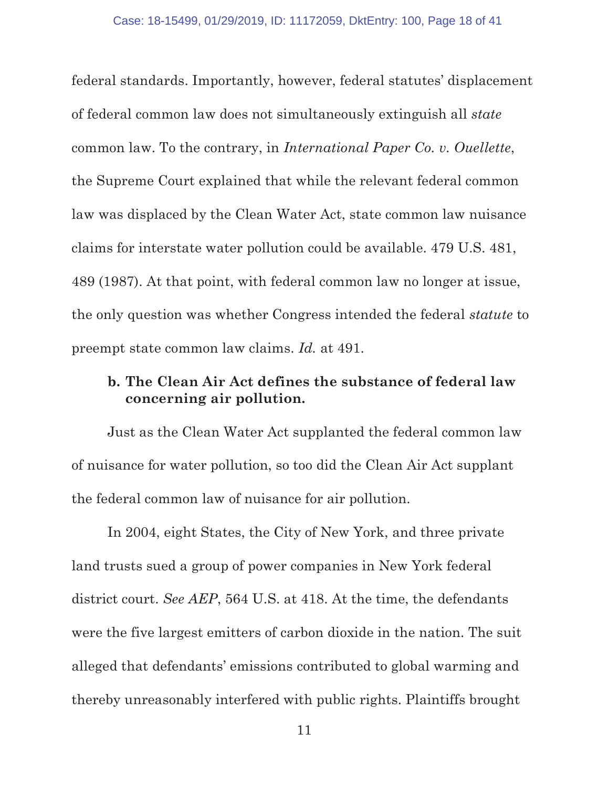federal standards. Importantly, however, federal statutes' displacement of federal common law does not simultaneously extinguish all state common law. To the contrary, in International Paper Co. v. Ouellette, the Supreme Court explained that while the relevant federal common law was displaced by the Clean Water Act, state common law nuisance claims for interstate water pollution could be available. 479 U.S. 481, 489 (1987). At that point, with federal common law no longer at issue, the only question was whether Congress intended the federal statute to preempt state common law claims. Id. at 491.

### b. The Clean Air Act defines the substance of federal law concerning air pollution.

Just as the Clean Water Act supplanted the federal common law of nuisance for water pollution, so too did the Clean Air Act supplant the federal common law of nuisance for air pollution.

In 2004, eight States, the City of New York, and three private land trusts sued a group of power companies in New York federal district court. See AEP, 564 U.S. at 418. At the time, the defendants were the five largest emitters of carbon dioxide in the nation. The suit alleged that defendants' emissions contributed to global warming and thereby unreasonably interfered with public rights. Plaintiffs brought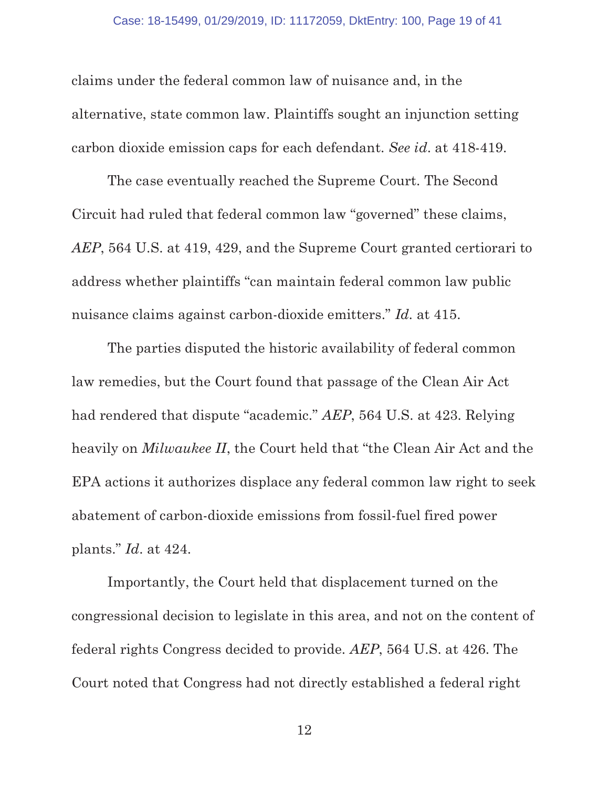claims under the federal common law of nuisance and, in the alternative, state common law. Plaintiffs sought an injunction setting carbon dioxide emission caps for each defendant. See id. at 418-419.

The case eventually reached the Supreme Court. The Second Circuit had ruled that federal common law "governed" these claims, AEP, 564 U.S. at 419, 429, and the Supreme Court granted certiorari to address whether plaintiffs "can maintain federal common law public nuisance claims against carbon-dioxide emitters." Id. at 415.

The parties disputed the historic availability of federal common law remedies, but the Court found that passage of the Clean Air Act had rendered that dispute "academic." AEP, 564 U.S. at 423. Relying heavily on *Milwaukee II*, the Court held that "the Clean Air Act and the EPA actions it authorizes displace any federal common law right to seek abatement of carbon-dioxide emissions from fossil-fuel fired power plants." Id. at 424.

Importantly, the Court held that displacement turned on the congressional decision to legislate in this area, and not on the content of federal rights Congress decided to provide. AEP, 564 U.S. at 426. The Court noted that Congress had not directly established a federal right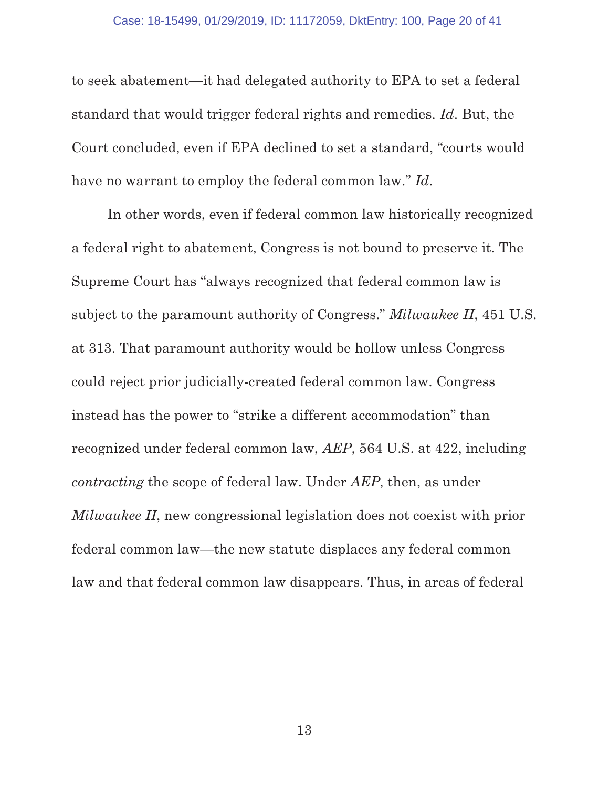to seek abatement—it had delegated authority to EPA to set a federal standard that would trigger federal rights and remedies. Id. But, the Court concluded, even if EPA declined to set a standard, "courts would have no warrant to employ the federal common law." Id.

In other words, even if federal common law historically recognized a federal right to abatement, Congress is not bound to preserve it. The Supreme Court has "always recognized that federal common law is subject to the paramount authority of Congress." Milwaukee II, 451 U.S. at 313. That paramount authority would be hollow unless Congress could reject prior judicially-created federal common law. Congress instead has the power to "strike a different accommodation" than recognized under federal common law, AEP, 564 U.S. at 422, including contracting the scope of federal law. Under AEP, then, as under Milwaukee II, new congressional legislation does not coexist with prior federal common law—the new statute displaces any federal common law and that federal common law disappears. Thus, in areas of federal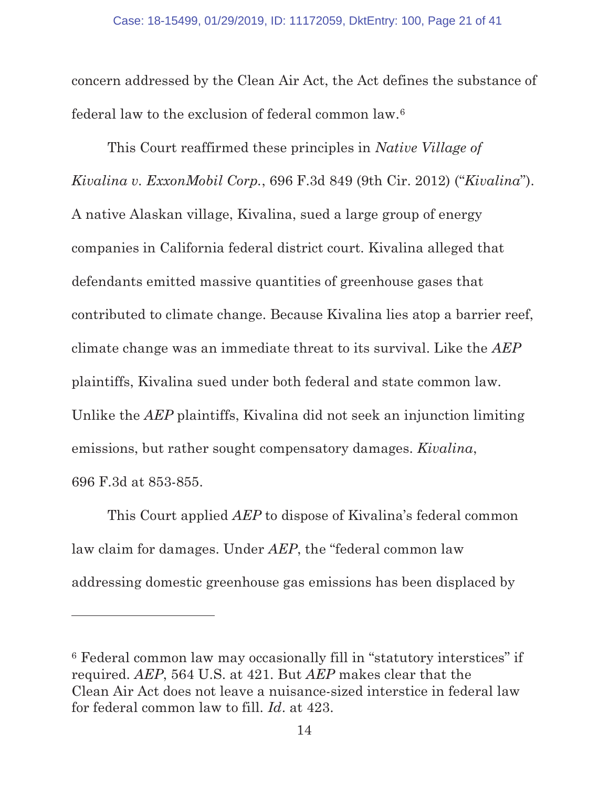concern addressed by the Clean Air Act, the Act defines the substance of federal law to the exclusion of federal common law.6

This Court reaffirmed these principles in Native Village of Kivalina v. ExxonMobil Corp., 696 F.3d 849 (9th Cir. 2012) ("Kivalina"). A native Alaskan village, Kivalina, sued a large group of energy companies in California federal district court. Kivalina alleged that defendants emitted massive quantities of greenhouse gases that contributed to climate change. Because Kivalina lies atop a barrier reef, climate change was an immediate threat to its survival. Like the AEP plaintiffs, Kivalina sued under both federal and state common law. Unlike the AEP plaintiffs, Kivalina did not seek an injunction limiting emissions, but rather sought compensatory damages. *Kivalina*, 696 F.3d at 853-855.

This Court applied AEP to dispose of Kivalina's federal common law claim for damages. Under AEP, the "federal common law addressing domestic greenhouse gas emissions has been displaced by

<sup>6</sup> Federal common law may occasionally fill in "statutory interstices" if required. AEP, 564 U.S. at 421. But AEP makes clear that the Clean Air Act does not leave a nuisance-sized interstice in federal law for federal common law to fill. Id. at 423.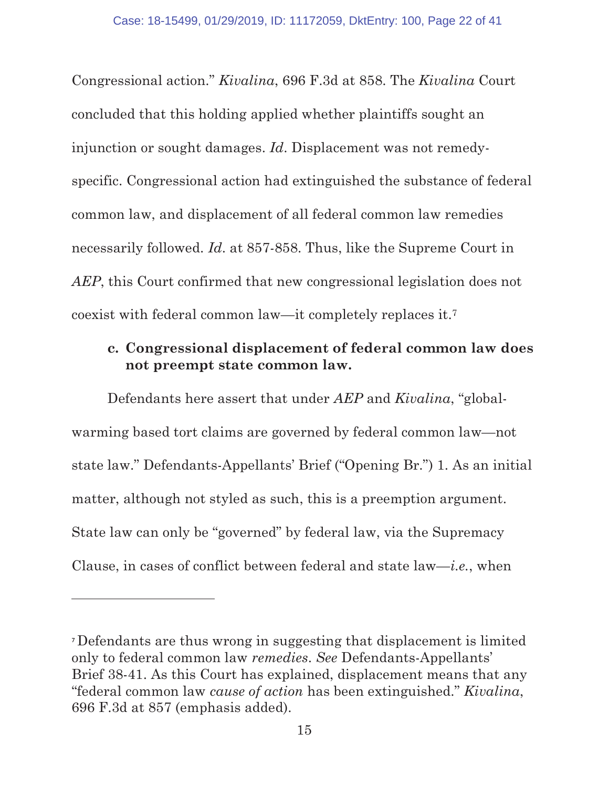Congressional action." Kivalina, 696 F.3d at 858. The Kivalina Court concluded that this holding applied whether plaintiffs sought an injunction or sought damages. Id. Displacement was not remedyspecific. Congressional action had extinguished the substance of federal common law, and displacement of all federal common law remedies necessarily followed. Id. at 857-858. Thus, like the Supreme Court in AEP, this Court confirmed that new congressional legislation does not coexist with federal common law—it completely replaces it.7

# c. Congressional displacement of federal common law does not preempt state common law.

Defendants here assert that under AEP and Kivalina, "globalwarming based tort claims are governed by federal common law—not state law." Defendants-Appellants' Brief ("Opening Br.") 1. As an initial matter, although not styled as such, this is a preemption argument. State law can only be "governed" by federal law, via the Supremacy Clause, in cases of conflict between federal and state  $law$ —*i.e.*, when

Defendants are thus wrong in suggesting that displacement is limited only to federal common law remedies. See Defendants-Appellants' Brief 38-41. As this Court has explained, displacement means that any "federal common law cause of action has been extinguished." Kivalina, 696 F.3d at 857 (emphasis added).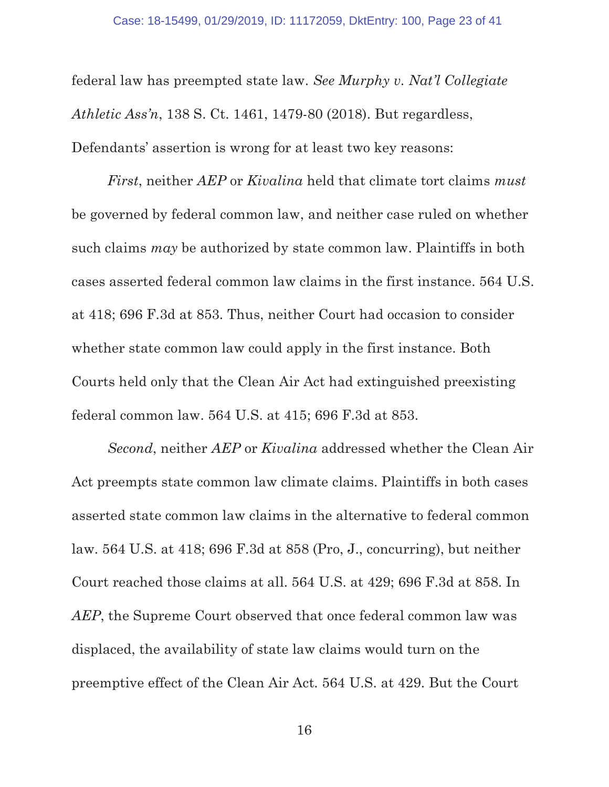federal law has preempted state law. See Murphy v. Nat'l Collegiate Athletic Ass'n, 138 S. Ct. 1461, 1479-80 (2018). But regardless, Defendants' assertion is wrong for at least two key reasons:

First, neither AEP or Kivalina held that climate tort claims must be governed by federal common law, and neither case ruled on whether such claims *may* be authorized by state common law. Plaintiffs in both cases asserted federal common law claims in the first instance. 564 U.S. at 418; 696 F.3d at 853. Thus, neither Court had occasion to consider whether state common law could apply in the first instance. Both Courts held only that the Clean Air Act had extinguished preexisting federal common law. 564 U.S. at 415; 696 F.3d at 853.

Second, neither AEP or Kivalina addressed whether the Clean Air Act preempts state common law climate claims. Plaintiffs in both cases asserted state common law claims in the alternative to federal common law. 564 U.S. at 418; 696 F.3d at 858 (Pro, J., concurring), but neither Court reached those claims at all. 564 U.S. at 429; 696 F.3d at 858. In AEP, the Supreme Court observed that once federal common law was displaced, the availability of state law claims would turn on the preemptive effect of the Clean Air Act. 564 U.S. at 429. But the Court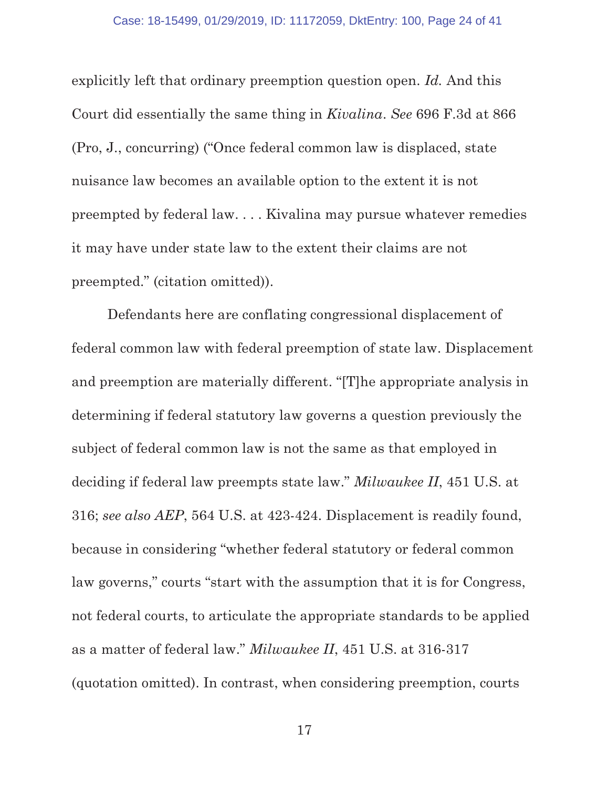explicitly left that ordinary preemption question open. Id. And this Court did essentially the same thing in Kivalina. See 696 F.3d at 866 (Pro, J., concurring) ("Once federal common law is displaced, state nuisance law becomes an available option to the extent it is not preempted by federal law. . . . Kivalina may pursue whatever remedies it may have under state law to the extent their claims are not preempted." (citation omitted)).

Defendants here are conflating congressional displacement of federal common law with federal preemption of state law. Displacement and preemption are materially different. "[T]he appropriate analysis in determining if federal statutory law governs a question previously the subject of federal common law is not the same as that employed in deciding if federal law preempts state law." Milwaukee II, 451 U.S. at 316; see also AEP, 564 U.S. at 423-424. Displacement is readily found, because in considering "whether federal statutory or federal common law governs," courts "start with the assumption that it is for Congress, not federal courts, to articulate the appropriate standards to be applied as a matter of federal law." Milwaukee II, 451 U.S. at 316-317 (quotation omitted). In contrast, when considering preemption, courts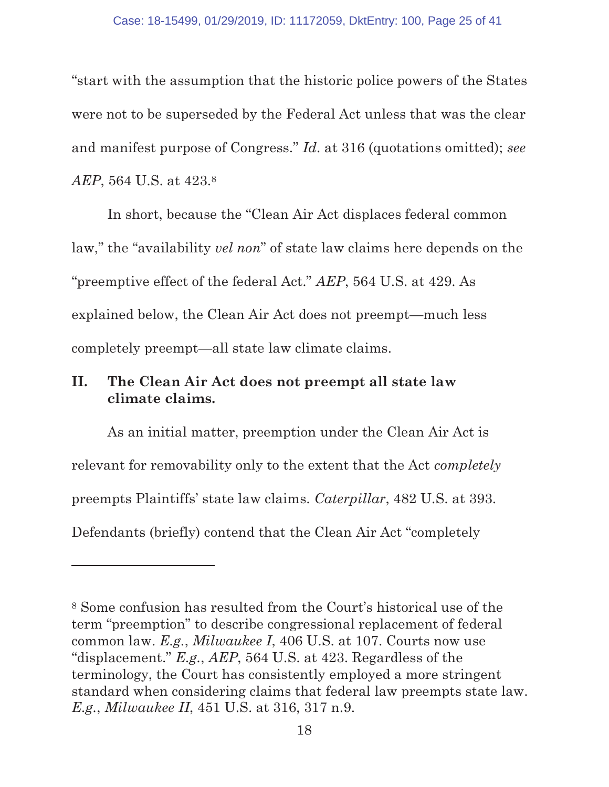"start with the assumption that the historic police powers of the States were not to be superseded by the Federal Act unless that was the clear and manifest purpose of Congress." Id. at 316 (quotations omitted); see AEP, 564 U.S. at 423.8

In short, because the "Clean Air Act displaces federal common law," the "availability vel non" of state law claims here depends on the "preemptive effect of the federal Act." AEP, 564 U.S. at 429. As explained below, the Clean Air Act does not preempt—much less completely preempt—all state law climate claims.

# II. The Clean Air Act does not preempt all state law climate claims.

As an initial matter, preemption under the Clean Air Act is relevant for removability only to the extent that the Act *completely* preempts Plaintiffs' state law claims. Caterpillar, 482 U.S. at 393. Defendants (briefly) contend that the Clean Air Act "completely

<sup>8</sup> Some confusion has resulted from the Court's historical use of the term "preemption" to describe congressional replacement of federal common law. E.g., Milwaukee I, 406 U.S. at 107. Courts now use "displacement." E.g., AEP, 564 U.S. at 423. Regardless of the terminology, the Court has consistently employed a more stringent standard when considering claims that federal law preempts state law. E.g., Milwaukee II, 451 U.S. at 316, 317 n.9.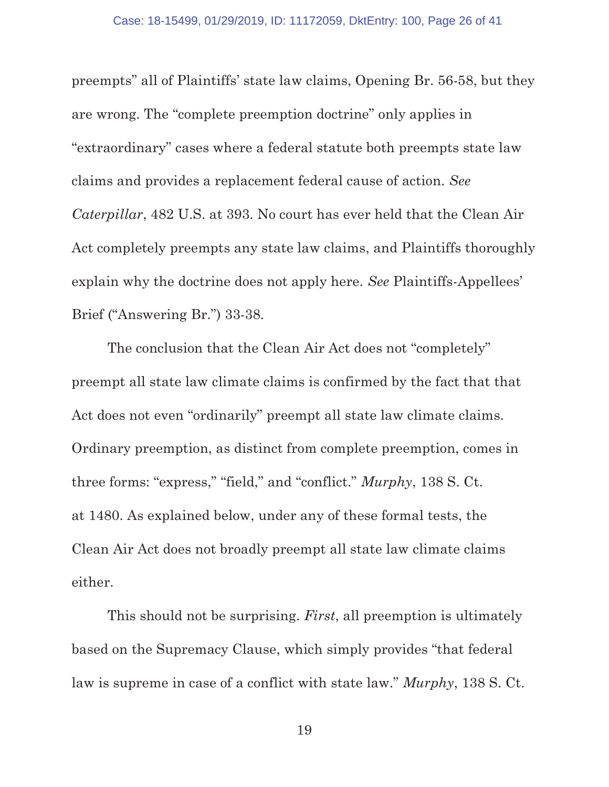preempts" all of Plaintiffs' state law claims, Opening Br. 56-58, but they are wrong. The "complete preemption doctrine" only applies in "extraordinary" cases where a federal statute both preempts state law claims and provides a replacement federal cause of action. See Caterpillar, 482 U.S. at 393. No court has ever held that the Clean Air Act completely preempts any state law claims, and Plaintiffs thoroughly explain why the doctrine does not apply here. See Plaintiffs-Appellees' Brief ("Answering Br.") 33-38.

The conclusion that the Clean Air Act does not "completely" preempt all state law climate claims is confirmed by the fact that that Act does not even "ordinarily" preempt all state law climate claims. Ordinary preemption, as distinct from complete preemption, comes in three forms: "express," "field," and "conflict." Murphy, 138 S. Ct. at 1480. As explained below, under any of these formal tests, the Clean Air Act does not broadly preempt all state law climate claims either.

This should not be surprising. *First*, all preemption is ultimately based on the Supremacy Clause, which simply provides "that federal law is supreme in case of a conflict with state law." Murphy, 138 S. Ct.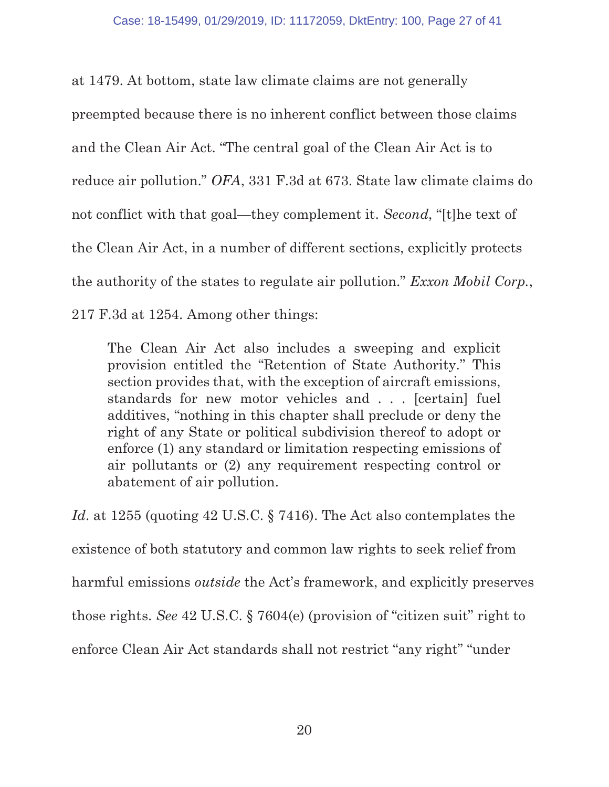at 1479. At bottom, state law climate claims are not generally preempted because there is no inherent conflict between those claims and the Clean Air Act. "The central goal of the Clean Air Act is to reduce air pollution." OFA, 331 F.3d at 673. State law climate claims do not conflict with that goal—they complement it. Second, "[t]he text of the Clean Air Act, in a number of different sections, explicitly protects the authority of the states to regulate air pollution." Exxon Mobil Corp., 217 F.3d at 1254. Among other things:

The Clean Air Act also includes a sweeping and explicit provision entitled the "Retention of State Authority." This section provides that, with the exception of aircraft emissions, standards for new motor vehicles and . . . [certain] fuel additives, "nothing in this chapter shall preclude or deny the right of any State or political subdivision thereof to adopt or enforce (1) any standard or limitation respecting emissions of air pollutants or (2) any requirement respecting control or abatement of air pollution.

Id. at 1255 (quoting 42 U.S.C. § 7416). The Act also contemplates the existence of both statutory and common law rights to seek relief from harmful emissions *outside* the Act's framework, and explicitly preserves those rights. See 42 U.S.C. § 7604(e) (provision of "citizen suit" right to enforce Clean Air Act standards shall not restrict "any right" "under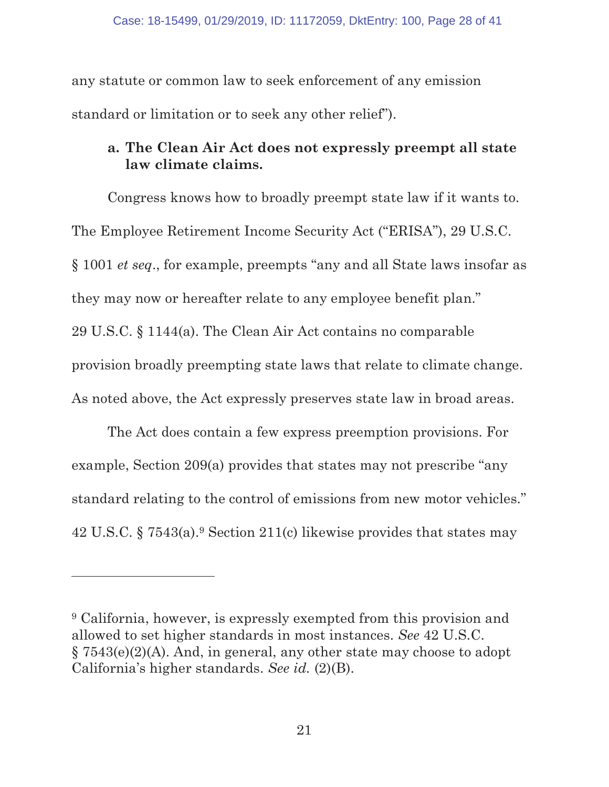any statute or common law to seek enforcement of any emission standard or limitation or to seek any other relief").

# a. The Clean Air Act does not expressly preempt all state law climate claims.

Congress knows how to broadly preempt state law if it wants to. The Employee Retirement Income Security Act ("ERISA"), 29 U.S.C. § 1001 et seq., for example, preempts "any and all State laws insofar as they may now or hereafter relate to any employee benefit plan." 29 U.S.C. § 1144(a). The Clean Air Act contains no comparable provision broadly preempting state laws that relate to climate change. As noted above, the Act expressly preserves state law in broad areas.

The Act does contain a few express preemption provisions. For example, Section 209(a) provides that states may not prescribe "any standard relating to the control of emissions from new motor vehicles." 42 U.S.C. § 7543(a).9 Section 211(c) likewise provides that states may

<sup>9</sup> California, however, is expressly exempted from this provision and allowed to set higher standards in most instances. See 42 U.S.C. § 7543(e)(2)(A). And, in general, any other state may choose to adopt California's higher standards. See id. (2)(B).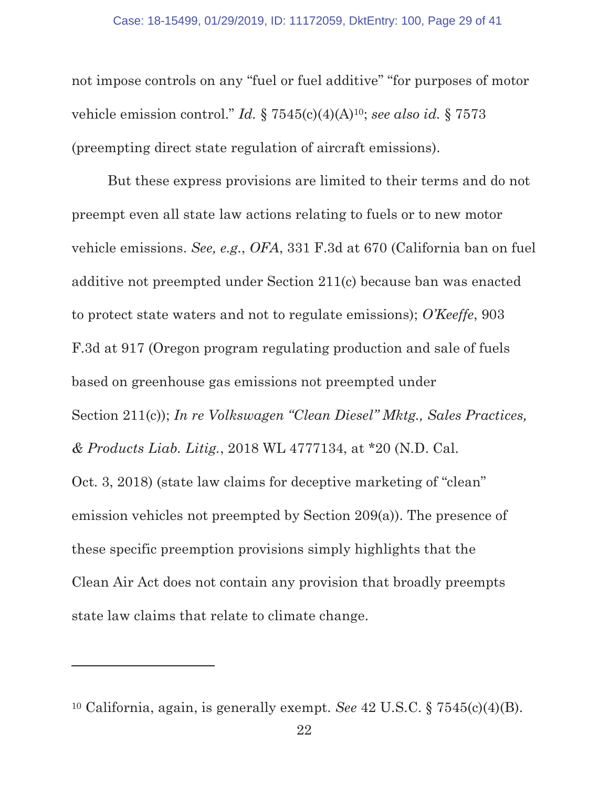not impose controls on any "fuel or fuel additive" "for purposes of motor vehicle emission control." Id.  $\S 7545(c)(4)(A)^{10}$ ; see also id.  $\S 7573$ (preempting direct state regulation of aircraft emissions).

But these express provisions are limited to their terms and do not preempt even all state law actions relating to fuels or to new motor vehicle emissions. See, e.g., OFA, 331 F.3d at 670 (California ban on fuel additive not preempted under Section 211(c) because ban was enacted to protect state waters and not to regulate emissions); O'Keeffe, 903 F.3d at 917 (Oregon program regulating production and sale of fuels based on greenhouse gas emissions not preempted under Section 211(c)); In re Volkswagen "Clean Diesel" Mktg., Sales Practices, & Products Liab. Litig., 2018 WL 4777134, at \*20 (N.D. Cal. Oct. 3, 2018) (state law claims for deceptive marketing of "clean" emission vehicles not preempted by Section 209(a)). The presence of these specific preemption provisions simply highlights that the Clean Air Act does not contain any provision that broadly preempts state law claims that relate to climate change.

<sup>&</sup>lt;sup>10</sup> California, again, is generally exempt. See  $42$  U.S.C.  $\S 7545(c)(4)(B)$ .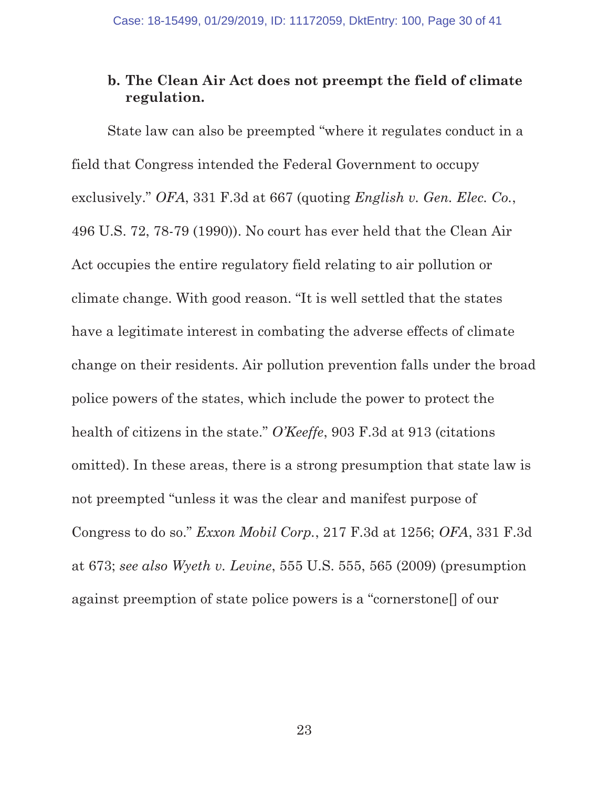# b. The Clean Air Act does not preempt the field of climate regulation.

State law can also be preempted "where it regulates conduct in a field that Congress intended the Federal Government to occupy exclusively." OFA, 331 F.3d at 667 (quoting English v. Gen. Elec. Co., 496 U.S. 72, 78-79 (1990)). No court has ever held that the Clean Air Act occupies the entire regulatory field relating to air pollution or climate change. With good reason. "It is well settled that the states have a legitimate interest in combating the adverse effects of climate change on their residents. Air pollution prevention falls under the broad police powers of the states, which include the power to protect the health of citizens in the state." O'Keeffe, 903 F.3d at 913 (citations omitted). In these areas, there is a strong presumption that state law is not preempted "unless it was the clear and manifest purpose of Congress to do so." Exxon Mobil Corp., 217 F.3d at 1256; OFA, 331 F.3d at 673; see also Wyeth v. Levine, 555 U.S. 555, 565 (2009) (presumption against preemption of state police powers is a "cornerstone[] of our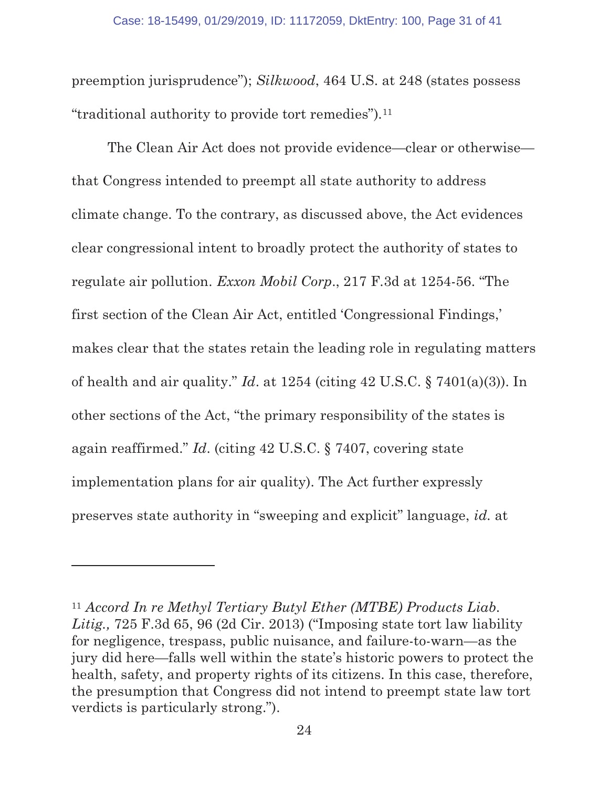preemption jurisprudence"); Silkwood, 464 U.S. at 248 (states possess "traditional authority to provide tort remedies").11

The Clean Air Act does not provide evidence—clear or otherwise that Congress intended to preempt all state authority to address climate change. To the contrary, as discussed above, the Act evidences clear congressional intent to broadly protect the authority of states to regulate air pollution. Exxon Mobil Corp., 217 F.3d at 1254-56. "The first section of the Clean Air Act, entitled 'Congressional Findings,' makes clear that the states retain the leading role in regulating matters of health and air quality." Id. at  $1254$  (citing  $42 \text{ U.S.C.}$  §  $7401(a)(3)$ ). In other sections of the Act, "the primary responsibility of the states is again reaffirmed." Id. (citing 42 U.S.C. § 7407, covering state implementation plans for air quality). The Act further expressly preserves state authority in "sweeping and explicit" language, id. at

 $11$  Accord In re Methyl Tertiary Butyl Ether (MTBE) Products Liab. Litig., 725 F.3d 65, 96 (2d Cir. 2013) ("Imposing state tort law liability") for negligence, trespass, public nuisance, and failure-to-warn—as the jury did here—falls well within the state's historic powers to protect the health, safety, and property rights of its citizens. In this case, therefore, the presumption that Congress did not intend to preempt state law tort verdicts is particularly strong.").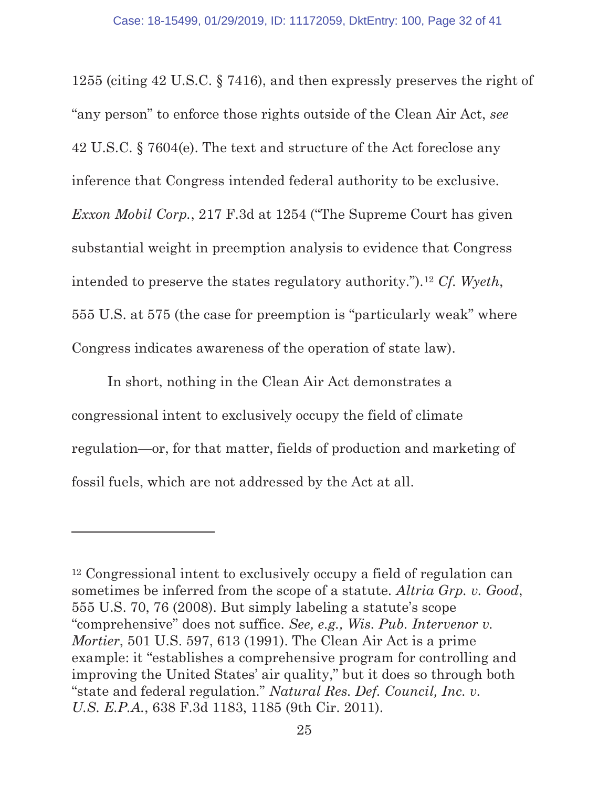1255 (citing 42 U.S.C. § 7416), and then expressly preserves the right of "any person" to enforce those rights outside of the Clean Air Act, see 42 U.S.C. § 7604(e). The text and structure of the Act foreclose any inference that Congress intended federal authority to be exclusive. Exxon Mobil Corp., 217 F.3d at 1254 ("The Supreme Court has given substantial weight in preemption analysis to evidence that Congress intended to preserve the states regulatory authority.").12 Cf. Wyeth, 555 U.S. at 575 (the case for preemption is "particularly weak" where Congress indicates awareness of the operation of state law).

In short, nothing in the Clean Air Act demonstrates a congressional intent to exclusively occupy the field of climate regulation—or, for that matter, fields of production and marketing of fossil fuels, which are not addressed by the Act at all.

<sup>12</sup> Congressional intent to exclusively occupy a field of regulation can sometimes be inferred from the scope of a statute. Altria Grp. v. Good, 555 U.S. 70, 76 (2008). But simply labeling a statute's scope "comprehensive" does not suffice. See, e.g., Wis. Pub. Intervenor v. Mortier, 501 U.S. 597, 613 (1991). The Clean Air Act is a prime example: it "establishes a comprehensive program for controlling and improving the United States' air quality," but it does so through both "state and federal regulation." Natural Res. Def. Council, Inc. v. U.S. E.P.A., 638 F.3d 1183, 1185 (9th Cir. 2011).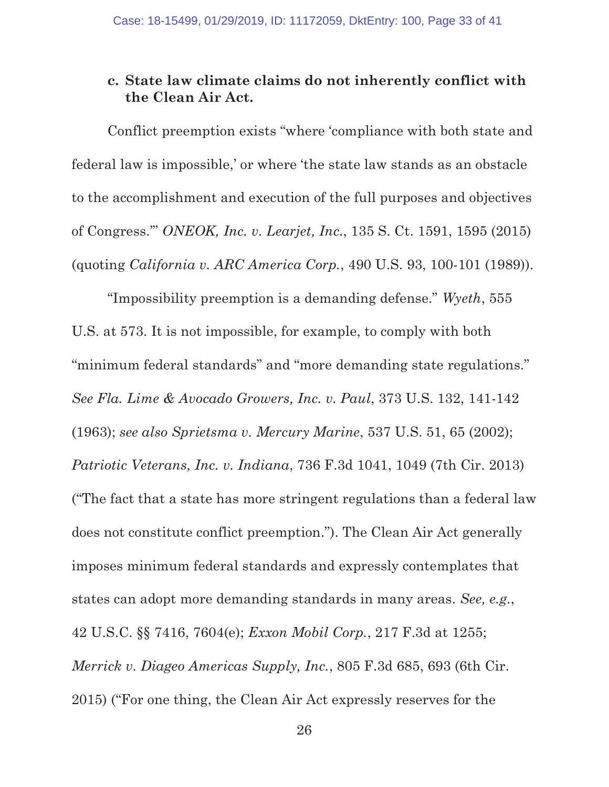### c. State law climate claims do not inherently conflict with the Clean Air Act.

Conflict preemption exists "where 'compliance with both state and federal law is impossible,' or where 'the state law stands as an obstacle to the accomplishment and execution of the full purposes and objectives of Congress.'" ONEOK, Inc. v. Learjet, Inc., 135 S. Ct. 1591, 1595 (2015) (quoting California v. ARC America Corp., 490 U.S. 93, 100-101 (1989)).

"Impossibility preemption is a demanding defense." Wyeth, 555 U.S. at 573. It is not impossible, for example, to comply with both "minimum federal standards" and "more demanding state regulations." See Fla. Lime & Avocado Growers, Inc. v. Paul, 373 U.S. 132, 141-142 (1963); see also Sprietsma v. Mercury Marine, 537 U.S. 51, 65 (2002); Patriotic Veterans, Inc. v. Indiana, 736 F.3d 1041, 1049 (7th Cir. 2013) ("The fact that a state has more stringent regulations than a federal law does not constitute conflict preemption."). The Clean Air Act generally imposes minimum federal standards and expressly contemplates that states can adopt more demanding standards in many areas. See, e.g., 42 U.S.C. §§ 7416, 7604(e); Exxon Mobil Corp., 217 F.3d at 1255; Merrick v. Diageo Americas Supply, Inc., 805 F.3d 685, 693 (6th Cir. 2015) ("For one thing, the Clean Air Act expressly reserves for the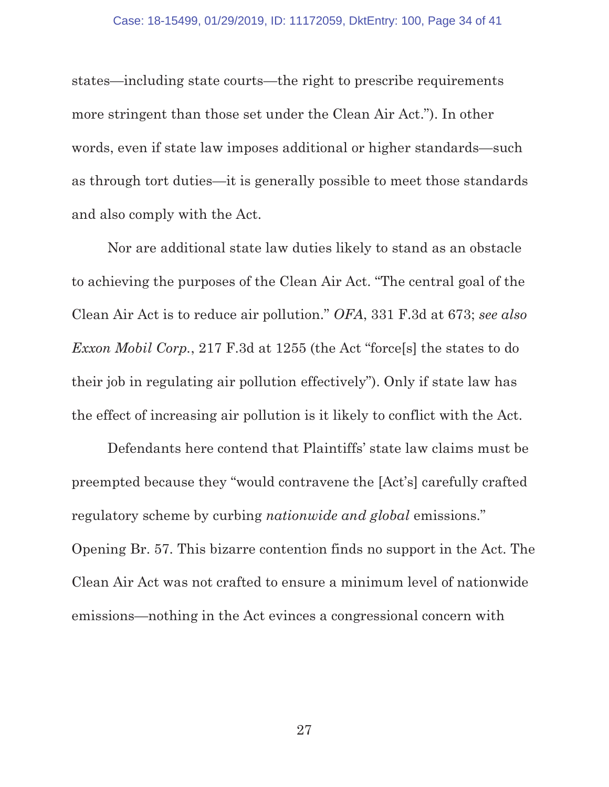states—including state courts—the right to prescribe requirements more stringent than those set under the Clean Air Act."). In other words, even if state law imposes additional or higher standards—such as through tort duties—it is generally possible to meet those standards and also comply with the Act.

Nor are additional state law duties likely to stand as an obstacle to achieving the purposes of the Clean Air Act. "The central goal of the Clean Air Act is to reduce air pollution." OFA, 331 F.3d at 673; see also Exxon Mobil Corp., 217 F.3d at 1255 (the Act "force[s] the states to do their job in regulating air pollution effectively"). Only if state law has the effect of increasing air pollution is it likely to conflict with the Act.

Defendants here contend that Plaintiffs' state law claims must be preempted because they "would contravene the [Act's] carefully crafted regulatory scheme by curbing nationwide and global emissions." Opening Br. 57. This bizarre contention finds no support in the Act. The Clean Air Act was not crafted to ensure a minimum level of nationwide emissions—nothing in the Act evinces a congressional concern with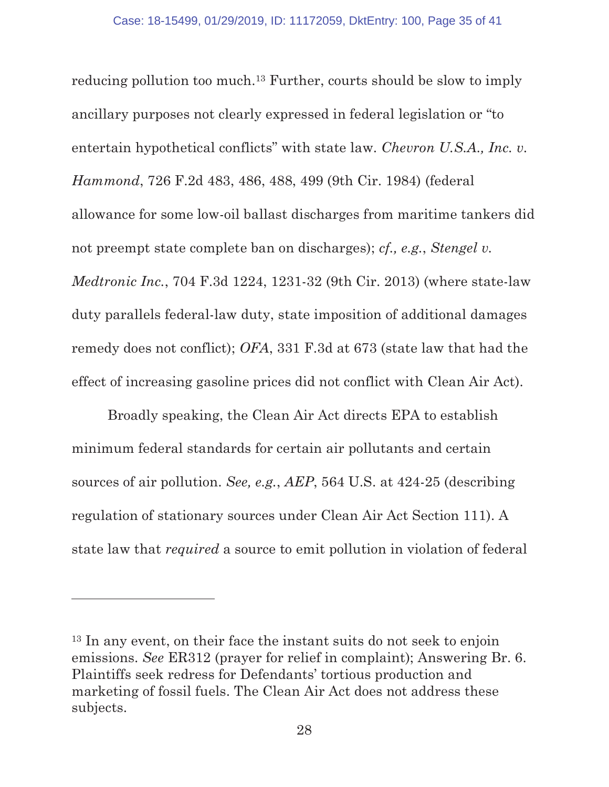reducing pollution too much.13 Further, courts should be slow to imply ancillary purposes not clearly expressed in federal legislation or "to entertain hypothetical conflicts" with state law. Chevron U.S.A., Inc. v. Hammond, 726 F.2d 483, 486, 488, 499 (9th Cir. 1984) (federal allowance for some low-oil ballast discharges from maritime tankers did not preempt state complete ban on discharges); cf., e.g., Stengel v. Medtronic Inc., 704 F.3d 1224, 1231-32 (9th Cir. 2013) (where state-law duty parallels federal-law duty, state imposition of additional damages remedy does not conflict); OFA, 331 F.3d at 673 (state law that had the effect of increasing gasoline prices did not conflict with Clean Air Act).

Broadly speaking, the Clean Air Act directs EPA to establish minimum federal standards for certain air pollutants and certain sources of air pollution. See, e.g., AEP, 564 U.S. at 424-25 (describing regulation of stationary sources under Clean Air Act Section 111). A state law that required a source to emit pollution in violation of federal

<sup>13</sup> In any event, on their face the instant suits do not seek to enjoin emissions. See ER312 (prayer for relief in complaint); Answering Br. 6. Plaintiffs seek redress for Defendants' tortious production and marketing of fossil fuels. The Clean Air Act does not address these subjects.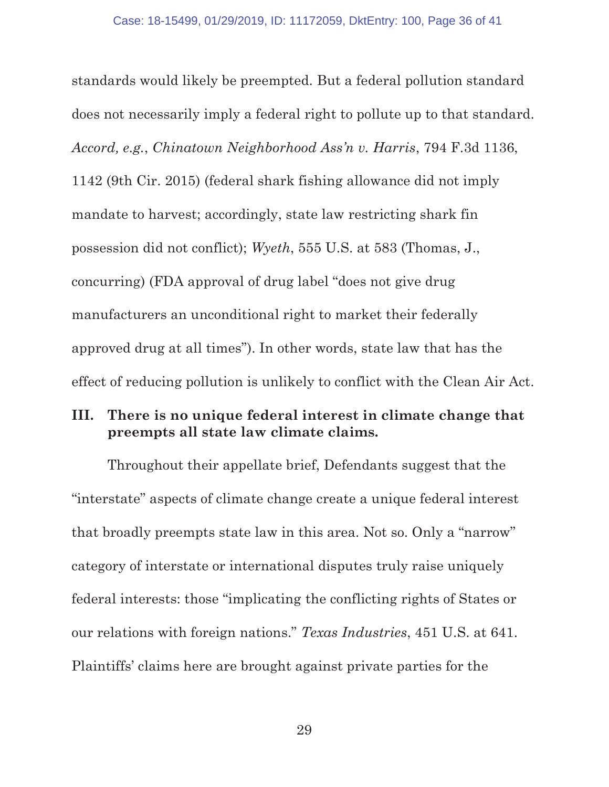standards would likely be preempted. But a federal pollution standard does not necessarily imply a federal right to pollute up to that standard. Accord, e.g., Chinatown Neighborhood Ass'n v. Harris, 794 F.3d 1136, 1142 (9th Cir. 2015) (federal shark fishing allowance did not imply mandate to harvest; accordingly, state law restricting shark fin possession did not conflict); Wyeth, 555 U.S. at 583 (Thomas, J., concurring) (FDA approval of drug label "does not give drug manufacturers an unconditional right to market their federally approved drug at all times"). In other words, state law that has the effect of reducing pollution is unlikely to conflict with the Clean Air Act.

### III. There is no unique federal interest in climate change that preempts all state law climate claims.

Throughout their appellate brief, Defendants suggest that the "interstate" aspects of climate change create a unique federal interest that broadly preempts state law in this area. Not so. Only a "narrow" category of interstate or international disputes truly raise uniquely federal interests: those "implicating the conflicting rights of States or our relations with foreign nations." Texas Industries, 451 U.S. at 641. Plaintiffs' claims here are brought against private parties for the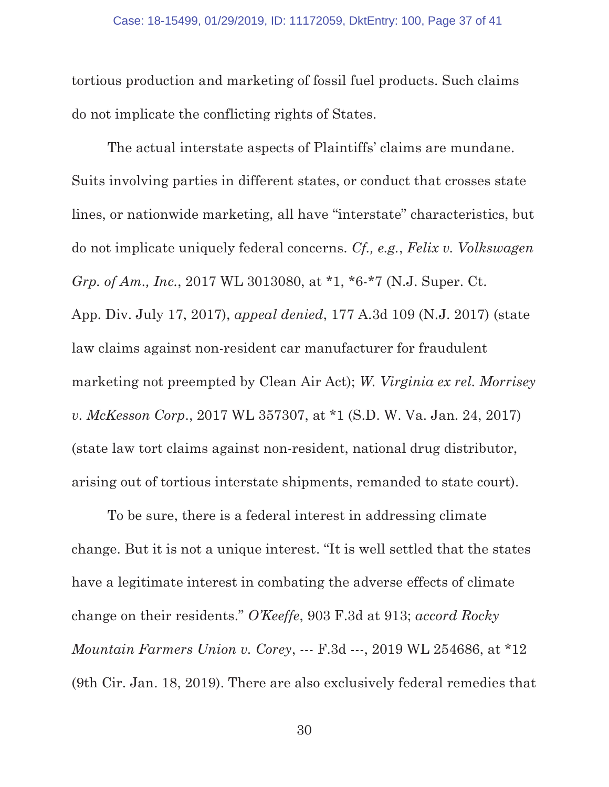tortious production and marketing of fossil fuel products. Such claims do not implicate the conflicting rights of States.

The actual interstate aspects of Plaintiffs' claims are mundane. Suits involving parties in different states, or conduct that crosses state lines, or nationwide marketing, all have "interstate" characteristics, but do not implicate uniquely federal concerns. Cf., e.g., Felix v. Volkswagen Grp. of Am., Inc., 2017 WL 3013080, at \*1, \*6-\*7 (N.J. Super. Ct. App. Div. July 17, 2017), appeal denied, 177 A.3d 109 (N.J. 2017) (state law claims against non-resident car manufacturer for fraudulent marketing not preempted by Clean Air Act); W. Virginia ex rel. Morrisey v. McKesson Corp., 2017 WL 357307, at \*1 (S.D. W. Va. Jan. 24, 2017) (state law tort claims against non-resident, national drug distributor, arising out of tortious interstate shipments, remanded to state court).

To be sure, there is a federal interest in addressing climate change. But it is not a unique interest. "It is well settled that the states have a legitimate interest in combating the adverse effects of climate change on their residents." O'Keeffe, 903 F.3d at 913; accord Rocky Mountain Farmers Union v. Corey, --- F.3d ---, 2019 WL 254686, at \*12 (9th Cir. Jan. 18, 2019). There are also exclusively federal remedies that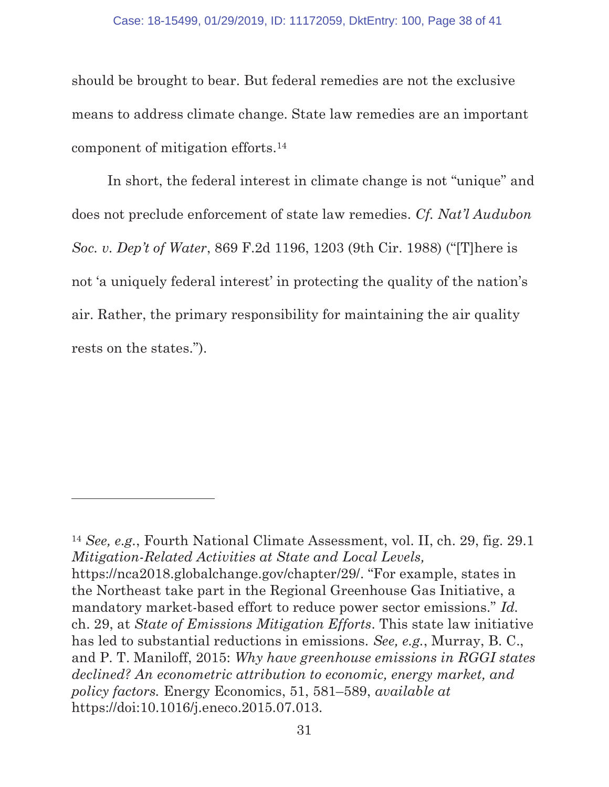should be brought to bear. But federal remedies are not the exclusive means to address climate change. State law remedies are an important component of mitigation efforts.14

In short, the federal interest in climate change is not "unique" and does not preclude enforcement of state law remedies. Cf. Nat'l Audubon Soc. v. Dep't of Water, 869 F.2d 1196, 1203 (9th Cir. 1988) ("[T]here is not 'a uniquely federal interest' in protecting the quality of the nation's air. Rather, the primary responsibility for maintaining the air quality rests on the states.").

<sup>14</sup> See, e.g., Fourth National Climate Assessment, vol. II, ch. 29, fig. 29.1 Mitigation-Related Activities at State and Local Levels, https://nca2018.globalchange.gov/chapter/29/. "For example, states in the Northeast take part in the Regional Greenhouse Gas Initiative, a mandatory market-based effort to reduce power sector emissions." Id. ch. 29, at State of Emissions Mitigation Efforts. This state law initiative has led to substantial reductions in emissions. See, e.g., Murray, B. C., and P. T. Maniloff, 2015: Why have greenhouse emissions in RGGI states declined? An econometric attribution to economic, energy market, and policy factors. Energy Economics, 51, 581–589, available at https://doi:10.1016/j.eneco.2015.07.013.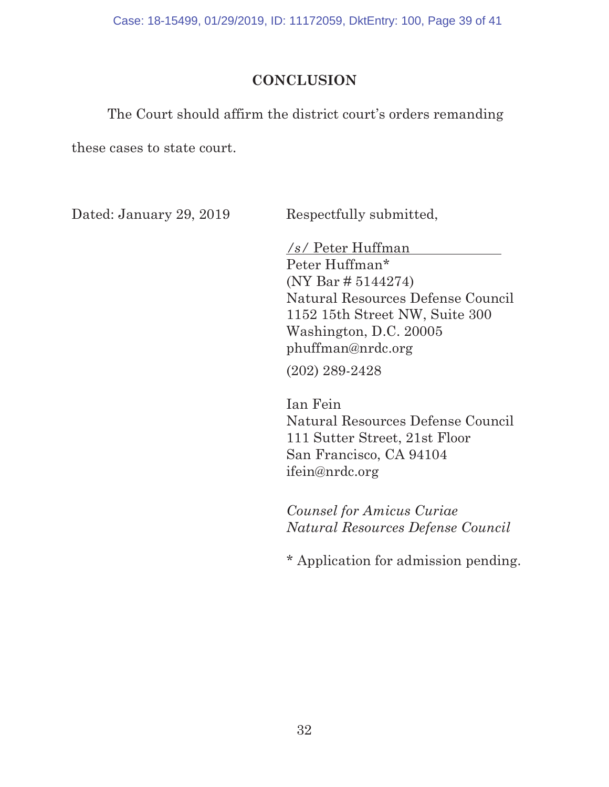Case: 18-15499, 01/29/2019, ID: 11172059, DktEntry: 100, Page 39 of 41

# **CONCLUSION**

The Court should affirm the district court's orders remanding

these cases to state court.

Dated: January 29, 2019 Respectfully submitted,

/s/ Peter Huffman Peter Huffman\* (NY Bar # 5144274) Natural Resources Defense Council 1152 15th Street NW, Suite 300 Washington, D.C. 20005 phuffman@nrdc.org

(202) 289-2428

Ian Fein Natural Resources Defense Council 111 Sutter Street, 21st Floor San Francisco, CA 94104 ifein@nrdc.org

Counsel for Amicus Curiae Natural Resources Defense Council

\* Application for admission pending.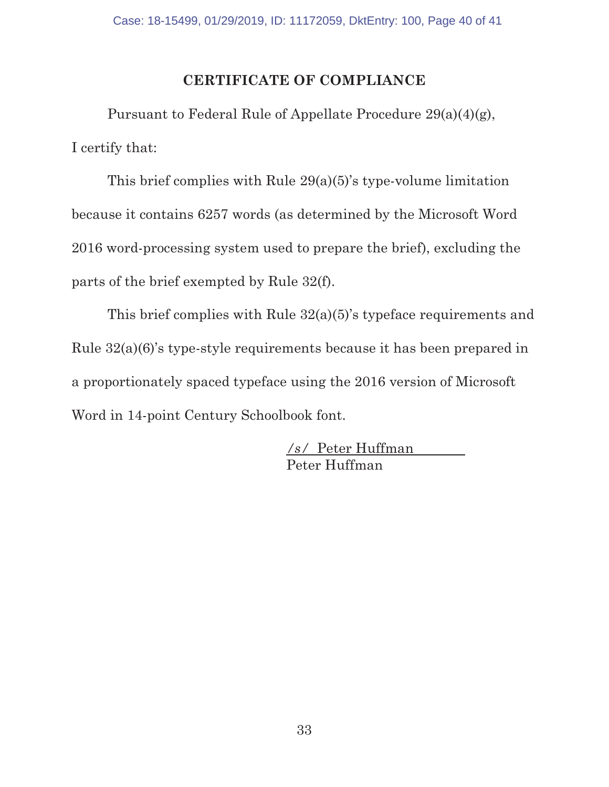# CERTIFICATE OF COMPLIANCE

Pursuant to Federal Rule of Appellate Procedure 29(a)(4)(g), I certify that:

This brief complies with Rule 29(a)(5)'s type-volume limitation because it contains 6257 words (as determined by the Microsoft Word 2016 word-processing system used to prepare the brief), excluding the parts of the brief exempted by Rule 32(f).

This brief complies with Rule 32(a)(5)'s typeface requirements and Rule 32(a)(6)'s type-style requirements because it has been prepared in a proportionately spaced typeface using the 2016 version of Microsoft Word in 14-point Century Schoolbook font.

> /s/ Peter Huffman Peter Huffman